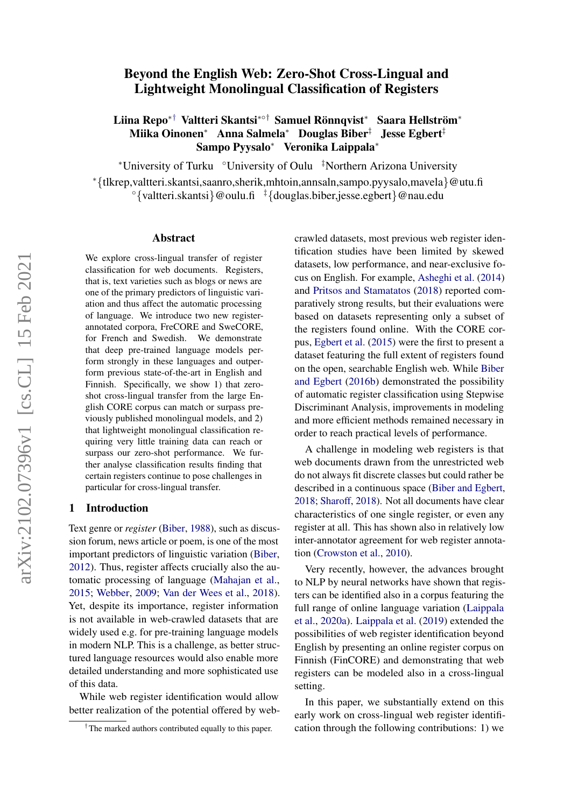# Beyond the English Web: Zero-Shot Cross-Lingual and Lightweight Monolingual Classification of Registers

# Liina Repo\*† Valtteri Skantsi\*°† Samuel Rönnqvist\* Saara Hellström\* Miika Oinonen<sup>∗</sup> Anna Salmela<sup>∗</sup> Douglas Biber‡ Jesse Egbert‡ Sampo Pyysalo<sup>∗</sup> Veronika Laippala<sup>∗</sup>

<sup>∗</sup>University of Turku ◦University of Oulu ‡Northern Arizona University <sup>∗</sup>{tlkrep,valtteri.skantsi,saanro,sherik,mhtoin,annsaln,sampo.pyysalo,mavela}@utu.fi  $\degree$ {valtteri.skantsi}@oulu.fi  $\frac{1}{4}$ {douglas.biber,jesse.egbert}@nau.edu

#### Abstract

We explore cross-lingual transfer of register classification for web documents. Registers, that is, text varieties such as blogs or news are one of the primary predictors of linguistic variation and thus affect the automatic processing of language. We introduce two new registerannotated corpora, FreCORE and SweCORE, for French and Swedish. We demonstrate that deep pre-trained language models perform strongly in these languages and outperform previous state-of-the-art in English and Finnish. Specifically, we show 1) that zeroshot cross-lingual transfer from the large English CORE corpus can match or surpass previously published monolingual models, and 2) that lightweight monolingual classification requiring very little training data can reach or surpass our zero-shot performance. We further analyse classification results finding that certain registers continue to pose challenges in particular for cross-lingual transfer.

## 1 Introduction

Text genre or *register* [\(Biber,](#page-5-0) [1988\)](#page-5-0), such as discussion forum, news article or poem, is one of the most important predictors of linguistic variation [\(Biber,](#page-5-1) [2012\)](#page-5-1). Thus, register affects crucially also the automatic processing of language [\(Mahajan et al.,](#page-6-0) [2015;](#page-6-0) [Webber,](#page-7-0) [2009;](#page-7-0) [Van der Wees et al.,](#page-7-1) [2018\)](#page-7-1). Yet, despite its importance, register information is not available in web-crawled datasets that are widely used e.g. for pre-training language models in modern NLP. This is a challenge, as better structured language resources would also enable more detailed understanding and more sophisticated use of this data.

While web register identification would allow better realization of the potential offered by webcrawled datasets, most previous web register identification studies have been limited by skewed datasets, low performance, and near-exclusive focus on English. For example, [Asheghi et al.](#page-5-2) [\(2014\)](#page-5-2) and [Pritsos and Stamatatos](#page-6-1) [\(2018\)](#page-6-1) reported comparatively strong results, but their evaluations were based on datasets representing only a subset of the registers found online. With the CORE corpus, [Egbert et al.](#page-6-2) [\(2015\)](#page-6-2) were the first to present a dataset featuring the full extent of registers found on the open, searchable English web. While [Biber](#page-6-3) [and Egbert](#page-6-3) [\(2016b\)](#page-6-3) demonstrated the possibility of automatic register classification using Stepwise Discriminant Analysis, improvements in modeling and more efficient methods remained necessary in order to reach practical levels of performance.

A challenge in modeling web registers is that web documents drawn from the unrestricted web do not always fit discrete classes but could rather be described in a continuous space [\(Biber and Egbert,](#page-6-4) [2018;](#page-6-4) [Sharoff,](#page-6-5) [2018\)](#page-6-5). Not all documents have clear characteristics of one single register, or even any register at all. This has shown also in relatively low inter-annotator agreement for web register annotation [\(Crowston et al.,](#page-6-6) [2010\)](#page-6-6).

Very recently, however, the advances brought to NLP by neural networks have shown that registers can be identified also in a corpus featuring the full range of online language variation [\(Laippala](#page-6-7) [et al.,](#page-6-7) [2020a\)](#page-6-7). [Laippala et al.](#page-6-8) [\(2019\)](#page-6-8) extended the possibilities of web register identification beyond English by presenting an online register corpus on Finnish (FinCORE) and demonstrating that web registers can be modeled also in a cross-lingual setting.

In this paper, we substantially extend on this early work on cross-lingual web register identification through the following contributions: 1) we

<sup>†</sup>The marked authors contributed equally to this paper.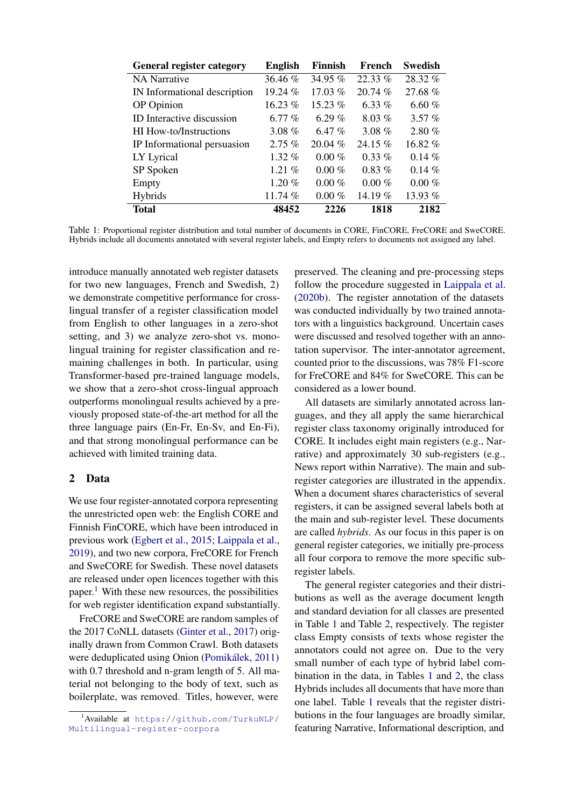<span id="page-1-1"></span>

| <b>General register category</b> | <b>English</b> | Finnish   | French    | <b>Swedish</b> |
|----------------------------------|----------------|-----------|-----------|----------------|
| <b>NA</b> Narrative              | $36.46\%$      | 34.95 %   | $22.33\%$ | 28.32 %        |
| IN Informational description     | $19.24\%$      | 17.03 $%$ | 20.74%    | 27.68%         |
| OP Opinion                       | $16.23\%$      | $15.23\%$ | 6.33 $%$  | 6.60%          |
| ID Interactive discussion        | 6.77 $%$       | 6.29 $%$  | $8.03\%$  | $3.57\%$       |
| HI How-to/Instructions           | $3.08 \%$      | 6.47 $%$  | 3.08 $%$  | 2.80%          |
| IP Informational persuasion      | $2.75\%$       | $20.04\%$ | 24.15 %   | $16.82\%$      |
| LY Lyrical                       | $1.32\%$       | $0.00\%$  | $0.33\%$  | $0.14\%$       |
| SP Spoken                        | 1.21 $%$       | $0.00\%$  | $0.83\%$  | 0.14%          |
| Empty                            | $1.20 \%$      | $0.00\%$  | $0.00\%$  | $0.00\%$       |
| <b>Hybrids</b>                   | 11.74 $%$      | $0.00\%$  | 14.19 $%$ | 13.93 %        |
| <b>Total</b>                     | 48452          | 2226      | 1818      | 2182           |

Table 1: Proportional register distribution and total number of documents in CORE, FinCORE, FreCORE and SweCORE. Hybrids include all documents annotated with several register labels, and Empty refers to documents not assigned any label.

introduce manually annotated web register datasets for two new languages, French and Swedish, 2) we demonstrate competitive performance for crosslingual transfer of a register classification model from English to other languages in a zero-shot setting, and 3) we analyze zero-shot vs. monolingual training for register classification and remaining challenges in both. In particular, using Transformer-based pre-trained language models, we show that a zero-shot cross-lingual approach outperforms monolingual results achieved by a previously proposed state-of-the-art method for all the three language pairs (En-Fr, En-Sv, and En-Fi), and that strong monolingual performance can be achieved with limited training data.

# <span id="page-1-2"></span>2 Data

We use four register-annotated corpora representing the unrestricted open web: the English CORE and Finnish FinCORE, which have been introduced in previous work [\(Egbert et al.,](#page-6-2) [2015;](#page-6-2) [Laippala et al.,](#page-6-8) [2019\)](#page-6-8), and two new corpora, FreCORE for French and SweCORE for Swedish. These novel datasets are released under open licences together with this paper.<sup>[1](#page-1-0)</sup> With these new resources, the possibilities for web register identification expand substantially.

FreCORE and SweCORE are random samples of the 2017 CoNLL datasets [\(Ginter et al.,](#page-6-9) [2017\)](#page-6-9) originally drawn from Common Crawl. Both datasets were deduplicated using Onion (Pomikálek, [2011\)](#page-6-10) with 0.7 threshold and n-gram length of 5. All material not belonging to the body of text, such as boilerplate, was removed. Titles, however, were

preserved. The cleaning and pre-processing steps follow the procedure suggested in [Laippala et al.](#page-6-11) [\(2020b\)](#page-6-11). The register annotation of the datasets was conducted individually by two trained annotators with a linguistics background. Uncertain cases were discussed and resolved together with an annotation supervisor. The inter-annotator agreement, counted prior to the discussions, was 78% F1-score for FreCORE and 84% for SweCORE. This can be considered as a lower bound.

All datasets are similarly annotated across languages, and they all apply the same hierarchical register class taxonomy originally introduced for CORE. It includes eight main registers (e.g., Narrative) and approximately 30 sub-registers (e.g., News report within Narrative). The main and subregister categories are illustrated in the appendix. When a document shares characteristics of several registers, it can be assigned several labels both at the main and sub-register level. These documents are called *hybrids*. As our focus in this paper is on general register categories, we initially pre-process all four corpora to remove the more specific subregister labels.

The general register categories and their distributions as well as the average document length and standard deviation for all classes are presented in Table [1](#page-1-1) and Table [2,](#page-2-0) respectively. The register class Empty consists of texts whose register the annotators could not agree on. Due to the very small number of each type of hybrid label combination in the data, in Tables [1](#page-1-1) and [2,](#page-2-0) the class Hybrids includes all documents that have more than one label. Table [1](#page-1-1) reveals that the register distributions in the four languages are broadly similar, featuring Narrative, Informational description, and

<span id="page-1-0"></span><sup>1</sup>Available at [https://github.com/TurkuNLP/](https://github.com/TurkuNLP/Multilingual-register-corpora) [Multilingual-register-corpora](https://github.com/TurkuNLP/Multilingual-register-corpora)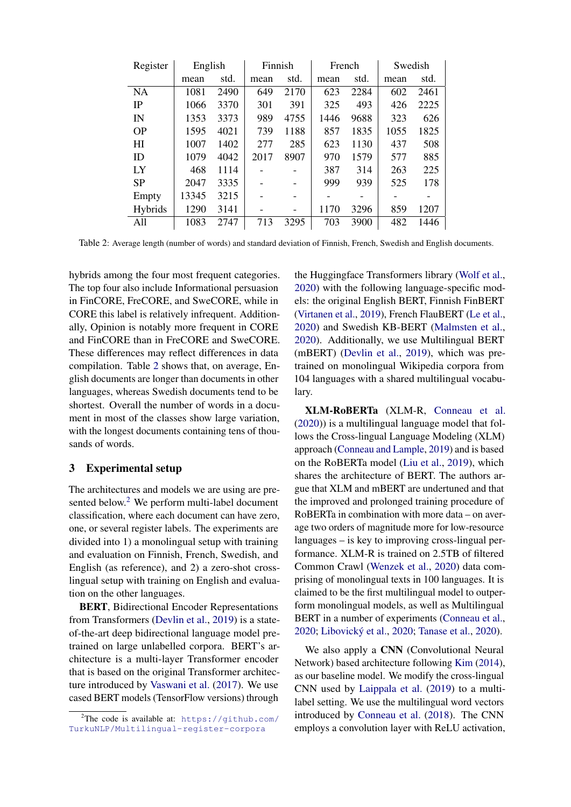<span id="page-2-0"></span>

| Register  | English |      | Finnish |                          | French |      | Swedish |      |
|-----------|---------|------|---------|--------------------------|--------|------|---------|------|
|           | mean    | std. | mean    | std.                     | mean   | std. | mean    | std. |
| <b>NA</b> | 1081    | 2490 | 649     | 2170                     | 623    | 2284 | 602     | 2461 |
| IP        | 1066    | 3370 | 301     | 391                      | 325    | 493  | 426     | 2225 |
| IN        | 1353    | 3373 | 989     | 4755                     | 1446   | 9688 | 323     | 626  |
| <b>OP</b> | 1595    | 4021 | 739     | 1188                     | 857    | 1835 | 1055    | 1825 |
| H I       | 1007    | 1402 | 277     | 285                      | 623    | 1130 | 437     | 508  |
| ID        | 1079    | 4042 | 2017    | 8907                     | 970    | 1579 | 577     | 885  |
| IX        | 468     | 1114 |         |                          | 387    | 314  | 263     | 225  |
| <b>SP</b> | 2047    | 3335 |         |                          | 999    | 939  | 525     | 178  |
| Empty     | 13345   | 3215 |         |                          |        |      |         |      |
| Hybrids   | 1290    | 3141 |         | $\overline{\phantom{0}}$ | 1170   | 3296 | 859     | 1207 |
| All       | 1083    | 2747 | 713     | 3295                     | 703    | 3900 | 482     | 1446 |

Table 2: Average length (number of words) and standard deviation of Finnish, French, Swedish and English documents.

hybrids among the four most frequent categories. The top four also include Informational persuasion in FinCORE, FreCORE, and SweCORE, while in CORE this label is relatively infrequent. Additionally, Opinion is notably more frequent in CORE and FinCORE than in FreCORE and SweCORE. These differences may reflect differences in data compilation. Table [2](#page-2-0) shows that, on average, English documents are longer than documents in other languages, whereas Swedish documents tend to be shortest. Overall the number of words in a document in most of the classes show large variation, with the longest documents containing tens of thousands of words.

## <span id="page-2-2"></span>3 Experimental setup

The architectures and models we are using are pre-sented below.<sup>[2](#page-2-1)</sup> We perform multi-label document classification, where each document can have zero, one, or several register labels. The experiments are divided into 1) a monolingual setup with training and evaluation on Finnish, French, Swedish, and English (as reference), and 2) a zero-shot crosslingual setup with training on English and evaluation on the other languages.

BERT, Bidirectional Encoder Representations from Transformers [\(Devlin et al.,](#page-6-12) [2019\)](#page-6-12) is a stateof-the-art deep bidirectional language model pretrained on large unlabelled corpora. BERT's architecture is a multi-layer Transformer encoder that is based on the original Transformer architecture introduced by [Vaswani et al.](#page-7-2) [\(2017\)](#page-7-2). We use cased BERT models (TensorFlow versions) through

the Huggingface Transformers library [\(Wolf et al.,](#page-7-3) [2020\)](#page-7-3) with the following language-specific models: the original English BERT, Finnish FinBERT [\(Virtanen et al.,](#page-7-4) [2019\)](#page-7-4), French FlauBERT [\(Le et al.,](#page-6-13) [2020\)](#page-6-13) and Swedish KB-BERT [\(Malmsten et al.,](#page-6-14) [2020\)](#page-6-14). Additionally, we use Multilingual BERT (mBERT) [\(Devlin et al.,](#page-6-12) [2019\)](#page-6-12), which was pretrained on monolingual Wikipedia corpora from 104 languages with a shared multilingual vocabulary.

XLM-RoBERTa (XLM-R, [Conneau et al.](#page-6-15) [\(2020\)](#page-6-15)) is a multilingual language model that follows the Cross-lingual Language Modeling (XLM) approach [\(Conneau and Lample,](#page-6-16) [2019\)](#page-6-16) and is based on the RoBERTa model [\(Liu et al.,](#page-6-17) [2019\)](#page-6-17), which shares the architecture of BERT. The authors argue that XLM and mBERT are undertuned and that the improved and prolonged training procedure of RoBERTa in combination with more data – on average two orders of magnitude more for low-resource languages – is key to improving cross-lingual performance. XLM-R is trained on 2.5TB of filtered Common Crawl [\(Wenzek et al.,](#page-7-5) [2020\)](#page-7-5) data comprising of monolingual texts in 100 languages. It is claimed to be the first multilingual model to outperform monolingual models, as well as Multilingual BERT in a number of experiments [\(Conneau et al.,](#page-6-15) [2020;](#page-6-18) Libovický et al., 2020; [Tanase et al.,](#page-6-19) [2020\)](#page-6-19).

We also apply a CNN (Convolutional Neural Network) based architecture following [Kim](#page-6-20) [\(2014\)](#page-6-20), as our baseline model. We modify the cross-lingual CNN used by [Laippala et al.](#page-6-8) [\(2019\)](#page-6-8) to a multilabel setting. We use the multilingual word vectors introduced by [Conneau et al.](#page-6-21) [\(2018\)](#page-6-21). The CNN employs a convolution layer with ReLU activation,

<span id="page-2-1"></span><sup>&</sup>lt;sup>2</sup>The code is available at: [https://github.com/](https://github.com/TurkuNLP/Multilingual-register-corpora) [TurkuNLP/Multilingual-register-corpora](https://github.com/TurkuNLP/Multilingual-register-corpora)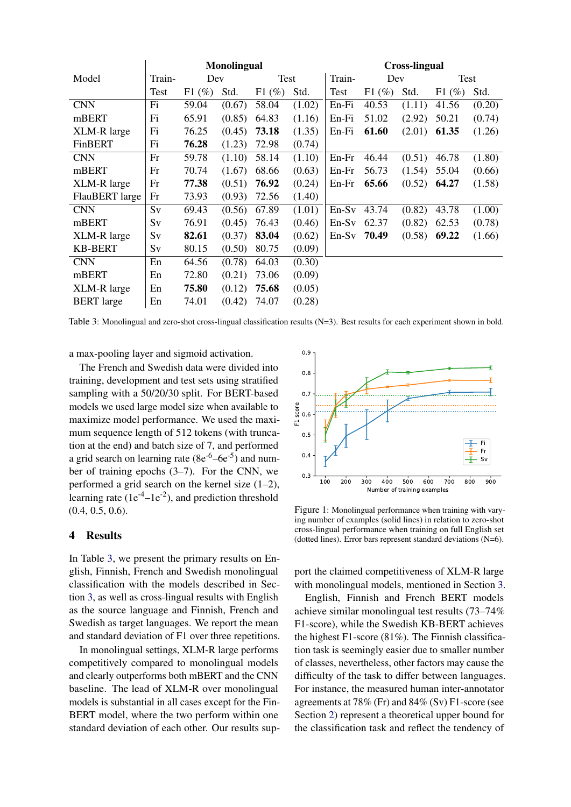<span id="page-3-0"></span>

|                   | <b>Monolingual</b> |          |        |          | <b>Cross-lingual</b> |         |          |        |          |        |
|-------------------|--------------------|----------|--------|----------|----------------------|---------|----------|--------|----------|--------|
| Model             | Train-             | Dev      |        | Test     |                      | Train-  | Dev      |        | Test     |        |
|                   | Test               | $F1(\%)$ | Std.   | $F1(\%)$ | Std.                 | Test    | $F1(\%)$ | Std.   | $F1(\%)$ | Std.   |
| <b>CNN</b>        | Fi                 | 59.04    | (0.67) | 58.04    | (1.02)               | En-Fi   | 40.53    | (1.11) | 41.56    | (0.20) |
| mBERT             | Fi                 | 65.91    | (0.85) | 64.83    | (1.16)               | En-Fi   | 51.02    | (2.92) | 50.21    | (0.74) |
| XLM-R large       | Fi                 | 76.25    | (0.45) | 73.18    | (1.35)               | En-Fi   | 61.60    | (2.01) | 61.35    | (1.26) |
| FinBERT           | Fi                 | 76.28    | (1.23) | 72.98    | (0.74)               |         |          |        |          |        |
| <b>CNN</b>        | Fr                 | 59.78    | (1.10) | 58.14    | (1.10)               | $En-Fr$ | 46.44    | (0.51) | 46.78    | (1.80) |
| mBERT             | Fr                 | 70.74    | (1.67) | 68.66    | (0.63)               | En-Fr   | 56.73    | (1.54) | 55.04    | (0.66) |
| XLM-R large       | Fr                 | 77.38    | (0.51) | 76.92    | (0.24)               | $En-Fr$ | 65.66    | (0.52) | 64.27    | (1.58) |
| FlauBERT large    | Fr                 | 73.93    | (0.93) | 72.56    | (1.40)               |         |          |        |          |        |
| <b>CNN</b>        | Sv                 | 69.43    | (0.56) | 67.89    | (1.01)               | $En-Sv$ | 43.74    | (0.82) | 43.78    | (1.00) |
| mBERT             | Sv                 | 76.91    | (0.45) | 76.43    | (0.46)               | $En-Sv$ | 62.37    | (0.82) | 62.53    | (0.78) |
| XLM-R large       | Sv                 | 82.61    | (0.37) | 83.04    | (0.62)               | $En-Sv$ | 70.49    | (0.58) | 69.22    | (1.66) |
| <b>KB-BERT</b>    | Sv                 | 80.15    | (0.50) | 80.75    | (0.09)               |         |          |        |          |        |
| <b>CNN</b>        | En                 | 64.56    | (0.78) | 64.03    | (0.30)               |         |          |        |          |        |
| mBERT             | En                 | 72.80    | (0.21) | 73.06    | (0.09)               |         |          |        |          |        |
| XLM-R large       | En                 | 75.80    | (0.12) | 75.68    | (0.05)               |         |          |        |          |        |
| <b>BERT</b> large | En                 | 74.01    | (0.42) | 74.07    | (0.28)               |         |          |        |          |        |

Table 3: Monolingual and zero-shot cross-lingual classification results (N=3). Best results for each experiment shown in bold.

a max-pooling layer and sigmoid activation.

The French and Swedish data were divided into training, development and test sets using stratified sampling with a 50/20/30 split. For BERT-based models we used large model size when available to maximize model performance. We used the maximum sequence length of 512 tokens (with truncation at the end) and batch size of 7, and performed a grid search on learning rate  $(8e^{-6} - 6e^{-5})$  and number of training epochs (3–7). For the CNN, we performed a grid search on the kernel size (1–2), learning rate  $(1e^{-4}-1e^{-2})$ , and prediction threshold (0.4, 0.5, 0.6).

### 4 Results

In Table [3,](#page-3-0) we present the primary results on English, Finnish, French and Swedish monolingual classification with the models described in Section [3,](#page-2-2) as well as cross-lingual results with English as the source language and Finnish, French and Swedish as target languages. We report the mean and standard deviation of F1 over three repetitions.

In monolingual settings, XLM-R large performs competitively compared to monolingual models and clearly outperforms both mBERT and the CNN baseline. The lead of XLM-R over monolingual models is substantial in all cases except for the Fin-BERT model, where the two perform within one standard deviation of each other. Our results sup-

<span id="page-3-1"></span>

Figure 1: Monolingual performance when training with varying number of examples (solid lines) in relation to zero-shot cross-lingual performance when training on full English set (dotted lines). Error bars represent standard deviations (N=6).

port the claimed competitiveness of XLM-R large with monolingual models, mentioned in Section [3.](#page-2-2)

English, Finnish and French BERT models achieve similar monolingual test results (73–74% F1-score), while the Swedish KB-BERT achieves the highest F1-score (81%). The Finnish classification task is seemingly easier due to smaller number of classes, nevertheless, other factors may cause the difficulty of the task to differ between languages. For instance, the measured human inter-annotator agreements at 78% (Fr) and 84% (Sv) F1-score (see Section [2\)](#page-1-2) represent a theoretical upper bound for the classification task and reflect the tendency of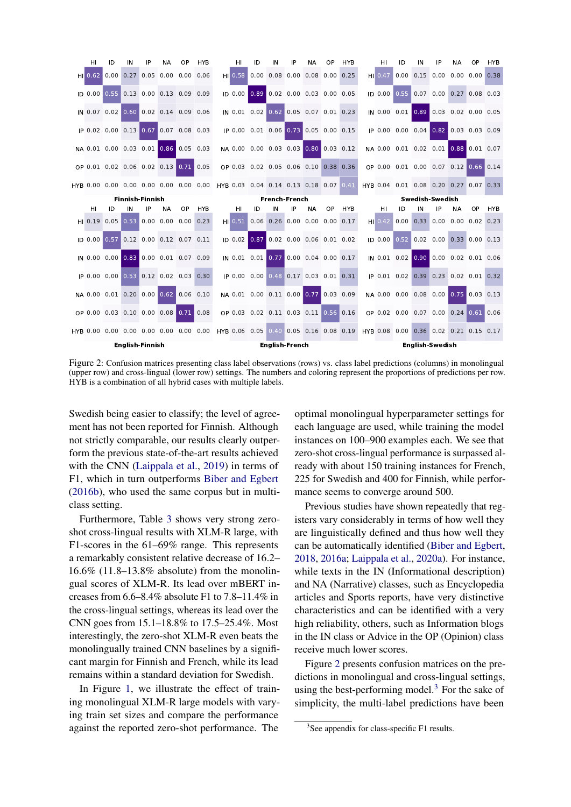<span id="page-4-0"></span>

Figure 2: Confusion matrices presenting class label observations (rows) vs. class label predictions (columns) in monolingual (upper row) and cross-lingual (lower row) settings. The numbers and coloring represent the proportions of predictions per row. HYB is a combination of all hybrid cases with multiple labels.

Swedish being easier to classify; the level of agreement has not been reported for Finnish. Although not strictly comparable, our results clearly outperform the previous state-of-the-art results achieved with the CNN [\(Laippala et al.,](#page-6-8) [2019\)](#page-6-8) in terms of F1, which in turn outperforms [Biber and Egbert](#page-6-3) [\(2016b\)](#page-6-3), who used the same corpus but in multiclass setting.

Furthermore, Table [3](#page-3-0) shows very strong zeroshot cross-lingual results with XLM-R large, with F1-scores in the 61–69% range. This represents a remarkably consistent relative decrease of 16.2– 16.6% (11.8–13.8% absolute) from the monolingual scores of XLM-R. Its lead over mBERT increases from 6.6–8.4% absolute F1 to 7.8–11.4% in the cross-lingual settings, whereas its lead over the CNN goes from 15.1–18.8% to 17.5–25.4%. Most interestingly, the zero-shot XLM-R even beats the monolingually trained CNN baselines by a significant margin for Finnish and French, while its lead remains within a standard deviation for Swedish.

In Figure [1,](#page-3-1) we illustrate the effect of training monolingual XLM-R large models with varying train set sizes and compare the performance against the reported zero-shot performance. The

optimal monolingual hyperparameter settings for each language are used, while training the model instances on 100–900 examples each. We see that zero-shot cross-lingual performance is surpassed already with about 150 training instances for French, 225 for Swedish and 400 for Finnish, while performance seems to converge around 500.

Previous studies have shown repeatedly that registers vary considerably in terms of how well they are linguistically defined and thus how well they can be automatically identified [\(Biber and Egbert,](#page-6-4) [2018,](#page-6-4) [2016a;](#page-5-3) [Laippala et al.,](#page-6-7) [2020a\)](#page-6-7). For instance, while texts in the IN (Informational description) and NA (Narrative) classes, such as Encyclopedia articles and Sports reports, have very distinctive characteristics and can be identified with a very high reliability, others, such as Information blogs in the IN class or Advice in the OP (Opinion) class receive much lower scores.

Figure [2](#page-4-0) presents confusion matrices on the predictions in monolingual and cross-lingual settings, using the best-performing model.<sup>[3](#page-4-1)</sup> For the sake of simplicity, the multi-label predictions have been

<span id="page-4-1"></span><sup>&</sup>lt;sup>3</sup>See appendix for class-specific F1 results.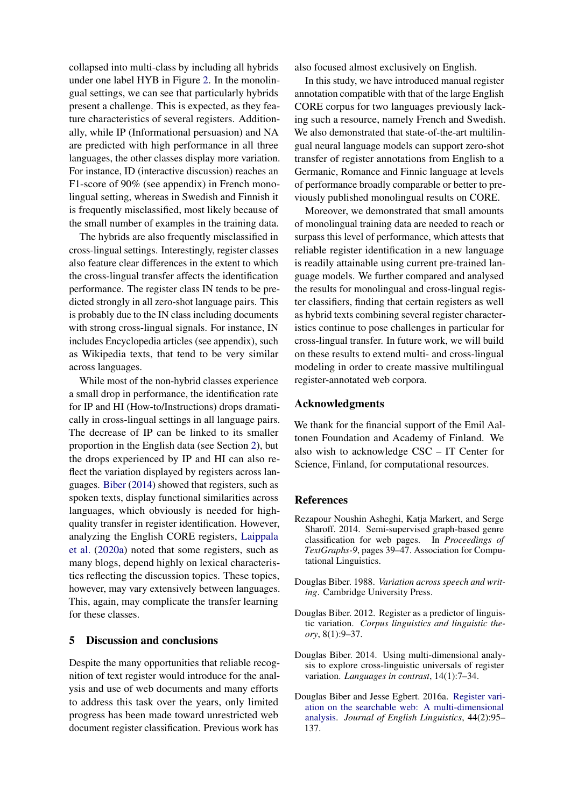collapsed into multi-class by including all hybrids under one label HYB in Figure [2.](#page-4-0) In the monolingual settings, we can see that particularly hybrids present a challenge. This is expected, as they feature characteristics of several registers. Additionally, while IP (Informational persuasion) and NA are predicted with high performance in all three languages, the other classes display more variation. For instance, ID (interactive discussion) reaches an F1-score of 90% (see appendix) in French monolingual setting, whereas in Swedish and Finnish it is frequently misclassified, most likely because of the small number of examples in the training data.

The hybrids are also frequently misclassified in cross-lingual settings. Interestingly, register classes also feature clear differences in the extent to which the cross-lingual transfer affects the identification performance. The register class IN tends to be predicted strongly in all zero-shot language pairs. This is probably due to the IN class including documents with strong cross-lingual signals. For instance, IN includes Encyclopedia articles (see appendix), such as Wikipedia texts, that tend to be very similar across languages.

While most of the non-hybrid classes experience a small drop in performance, the identification rate for IP and HI (How-to/Instructions) drops dramatically in cross-lingual settings in all language pairs. The decrease of IP can be linked to its smaller proportion in the English data (see Section [2\)](#page-1-2), but the drops experienced by IP and HI can also reflect the variation displayed by registers across languages. [Biber](#page-5-4) [\(2014\)](#page-5-4) showed that registers, such as spoken texts, display functional similarities across languages, which obviously is needed for highquality transfer in register identification. However, analyzing the English CORE registers, [Laippala](#page-6-7) [et al.](#page-6-7) [\(2020a\)](#page-6-7) noted that some registers, such as many blogs, depend highly on lexical characteristics reflecting the discussion topics. These topics, however, may vary extensively between languages. This, again, may complicate the transfer learning for these classes.

### 5 Discussion and conclusions

Despite the many opportunities that reliable recognition of text register would introduce for the analysis and use of web documents and many efforts to address this task over the years, only limited progress has been made toward unrestricted web document register classification. Previous work has

also focused almost exclusively on English.

In this study, we have introduced manual register annotation compatible with that of the large English CORE corpus for two languages previously lacking such a resource, namely French and Swedish. We also demonstrated that state-of-the-art multilingual neural language models can support zero-shot transfer of register annotations from English to a Germanic, Romance and Finnic language at levels of performance broadly comparable or better to previously published monolingual results on CORE.

Moreover, we demonstrated that small amounts of monolingual training data are needed to reach or surpass this level of performance, which attests that reliable register identification in a new language is readily attainable using current pre-trained language models. We further compared and analysed the results for monolingual and cross-lingual register classifiers, finding that certain registers as well as hybrid texts combining several register characteristics continue to pose challenges in particular for cross-lingual transfer. In future work, we will build on these results to extend multi- and cross-lingual modeling in order to create massive multilingual register-annotated web corpora.

### Acknowledgments

We thank for the financial support of the Emil Aaltonen Foundation and Academy of Finland. We also wish to acknowledge CSC – IT Center for Science, Finland, for computational resources.

#### References

- <span id="page-5-2"></span>Rezapour Noushin Asheghi, Katja Markert, and Serge Sharoff. 2014. Semi-supervised graph-based genre classification for web pages. In *Proceedings of TextGraphs-9*, pages 39–47. Association for Computational Linguistics.
- <span id="page-5-0"></span>Douglas Biber. 1988. *Variation across speech and writing*. Cambridge University Press.
- <span id="page-5-1"></span>Douglas Biber. 2012. Register as a predictor of linguistic variation. *Corpus linguistics and linguistic theory*, 8(1):9–37.
- <span id="page-5-4"></span>Douglas Biber. 2014. Using multi-dimensional analysis to explore cross-linguistic universals of register variation. *Languages in contrast*, 14(1):7–34.
- <span id="page-5-3"></span>Douglas Biber and Jesse Egbert. 2016a. [Register vari](https://doi.org/10.1177/0075424216628955)[ation on the searchable web: A multi-dimensional](https://doi.org/10.1177/0075424216628955) [analysis.](https://doi.org/10.1177/0075424216628955) *Journal of English Linguistics*, 44(2):95– 137.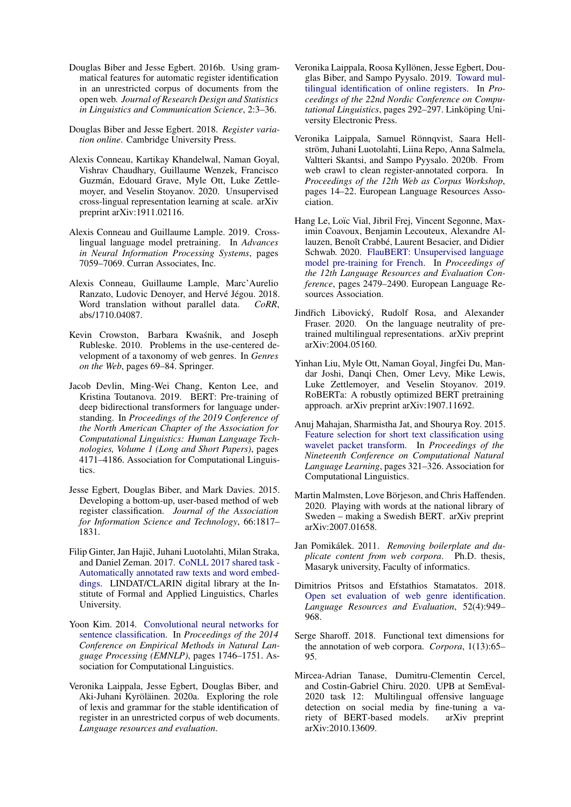- <span id="page-6-3"></span>Douglas Biber and Jesse Egbert. 2016b. Using grammatical features for automatic register identification in an unrestricted corpus of documents from the open web. *Journal of Research Design and Statistics in Linguistics and Communication Science*, 2:3–36.
- <span id="page-6-4"></span>Douglas Biber and Jesse Egbert. 2018. *Register variation online*. Cambridge University Press.
- <span id="page-6-15"></span>Alexis Conneau, Kartikay Khandelwal, Naman Goyal, Vishrav Chaudhary, Guillaume Wenzek, Francisco Guzmán, Edouard Grave, Myle Ott, Luke Zettlemoyer, and Veselin Stoyanov. 2020. Unsupervised cross-lingual representation learning at scale. arXiv preprint arXiv:1911.02116.
- <span id="page-6-16"></span>Alexis Conneau and Guillaume Lample. 2019. Crosslingual language model pretraining. In *Advances in Neural Information Processing Systems*, pages 7059–7069. Curran Associates, Inc.
- <span id="page-6-21"></span>Alexis Conneau, Guillaume Lample, Marc'Aurelio Ranzato, Ludovic Denoyer, and Hervé Jégou. 2018. Word translation without parallel data. *CoRR*, abs/1710.04087.
- <span id="page-6-6"></span>Kevin Crowston, Barbara Kwasnik, and Joseph ´ Rubleske. 2010. Problems in the use-centered development of a taxonomy of web genres. In *Genres on the Web*, pages 69–84. Springer.
- <span id="page-6-12"></span>Jacob Devlin, Ming-Wei Chang, Kenton Lee, and Kristina Toutanova. 2019. BERT: Pre-training of deep bidirectional transformers for language understanding. In *Proceedings of the 2019 Conference of the North American Chapter of the Association for Computational Linguistics: Human Language Technologies, Volume 1 (Long and Short Papers)*, pages 4171–4186. Association for Computational Linguistics.
- <span id="page-6-2"></span>Jesse Egbert, Douglas Biber, and Mark Davies. 2015. Developing a bottom-up, user-based method of web register classification. *Journal of the Association for Information Science and Technology*, 66:1817– 1831.
- <span id="page-6-9"></span>Filip Ginter, Jan Hajič, Juhani Luotolahti, Milan Straka, and Daniel Zeman. 2017. [CoNLL 2017 shared task -](http://hdl.handle.net/11234/1-1989) [Automatically annotated raw texts and word embed](http://hdl.handle.net/11234/1-1989)[dings.](http://hdl.handle.net/11234/1-1989) LINDAT/CLARIN digital library at the Institute of Formal and Applied Linguistics, Charles University.
- <span id="page-6-20"></span>Yoon Kim. 2014. [Convolutional neural networks for](https://doi.org/10.3115/v1/D14-1181) [sentence classification.](https://doi.org/10.3115/v1/D14-1181) In *Proceedings of the 2014 Conference on Empirical Methods in Natural Language Processing (EMNLP)*, pages 1746–1751. Association for Computational Linguistics.
- <span id="page-6-7"></span>Veronika Laippala, Jesse Egbert, Douglas Biber, and Aki-Juhani Kyröläinen. 2020a. Exploring the role of lexis and grammar for the stable identification of register in an unrestricted corpus of web documents. *Language resources and evaluation*.
- <span id="page-6-8"></span>Veronika Laippala, Roosa Kyllönen, Jesse Egbert, Douglas Biber, and Sampo Pyysalo. 2019. [Toward mul](https://www.aclweb.org/anthology/W19-6130)[tilingual identification of online registers.](https://www.aclweb.org/anthology/W19-6130) In *Proceedings of the 22nd Nordic Conference on Computational Linguistics*, pages 292–297. Linköping University Electronic Press.
- <span id="page-6-11"></span>Veronika Laippala, Samuel Rönnqvist, Saara Hellström, Juhani Luotolahti, Liina Repo, Anna Salmela, Valtteri Skantsi, and Sampo Pyysalo. 2020b. From web crawl to clean register-annotated corpora. In *Proceedings of the 12th Web as Corpus Workshop*, pages 14–22. European Language Resources Association.
- <span id="page-6-13"></span>Hang Le, Loïc Vial, Jibril Frej, Vincent Segonne, Maximin Coavoux, Benjamin Lecouteux, Alexandre Allauzen, Benoît Crabbé, Laurent Besacier, and Didier Schwab. 2020. [FlauBERT: Unsupervised language](https://www.aclweb.org/anthology/2020.lrec-1.302) [model pre-training for French.](https://www.aclweb.org/anthology/2020.lrec-1.302) In *Proceedings of the 12th Language Resources and Evaluation Conference*, pages 2479–2490. European Language Resources Association.
- <span id="page-6-18"></span>Jindřich Libovický, Rudolf Rosa, and Alexander Fraser. 2020. On the language neutrality of pretrained multilingual representations. arXiv preprint arXiv:2004.05160.
- <span id="page-6-17"></span>Yinhan Liu, Myle Ott, Naman Goyal, Jingfei Du, Mandar Joshi, Danqi Chen, Omer Levy, Mike Lewis, Luke Zettlemoyer, and Veselin Stoyanov. 2019. RoBERTa: A robustly optimized BERT pretraining approach. arXiv preprint arXiv:1907.11692.
- <span id="page-6-0"></span>Anuj Mahajan, Sharmistha Jat, and Shourya Roy. 2015. [Feature selection for short text classification using](https://doi.org/10.18653/v1/K15-1034) [wavelet packet transform.](https://doi.org/10.18653/v1/K15-1034) In *Proceedings of the Nineteenth Conference on Computational Natural Language Learning*, pages 321–326. Association for Computational Linguistics.
- <span id="page-6-14"></span>Martin Malmsten, Love Börjeson, and Chris Haffenden. 2020. Playing with words at the national library of Sweden – making a Swedish BERT. arXiv preprint arXiv:2007.01658.
- <span id="page-6-10"></span>Jan Pomikálek. 2011. Removing boilerplate and du*plicate content from web corpora*. Ph.D. thesis, Masaryk university, Faculty of informatics.
- <span id="page-6-1"></span>Dimitrios Pritsos and Efstathios Stamatatos. 2018. [Open set evaluation of web genre identification.](https://doi.org/10.1007/s10579-018-9418-y) *Language Resources and Evaluation*, 52(4):949– 968.
- <span id="page-6-5"></span>Serge Sharoff. 2018. Functional text dimensions for the annotation of web corpora. *Corpora*, 1(13):65– 95.
- <span id="page-6-19"></span>Mircea-Adrian Tanase, Dumitru-Clementin Cercel, and Costin-Gabriel Chiru. 2020. UPB at SemEval-2020 task 12: Multilingual offensive language detection on social media by fine-tuning a variety of BERT-based models. arXiv preprint arXiv:2010.13609.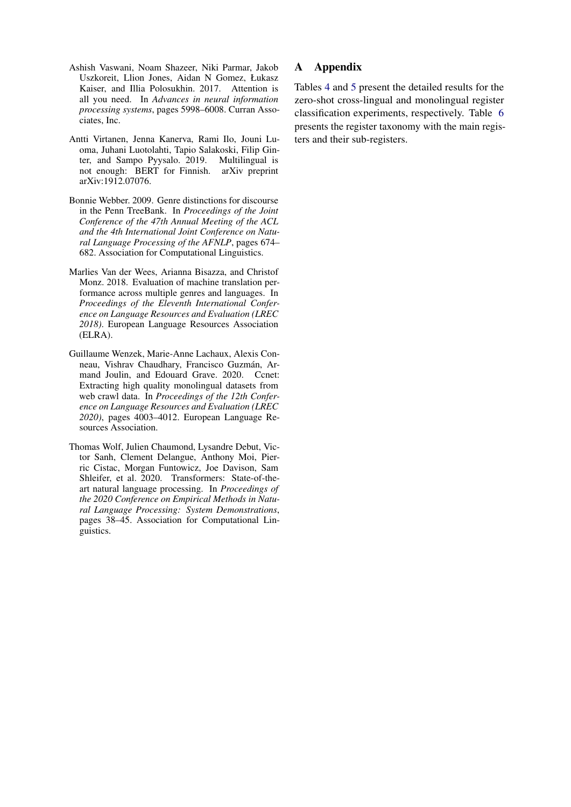- <span id="page-7-2"></span>Ashish Vaswani, Noam Shazeer, Niki Parmar, Jakob Uszkoreit, Llion Jones, Aidan N Gomez, Łukasz Kaiser, and Illia Polosukhin. 2017. Attention is all you need. In *Advances in neural information processing systems*, pages 5998–6008. Curran Associates, Inc.
- <span id="page-7-4"></span>Antti Virtanen, Jenna Kanerva, Rami Ilo, Jouni Luoma, Juhani Luotolahti, Tapio Salakoski, Filip Ginter, and Sampo Pyysalo. 2019. Multilingual is not enough: BERT for Finnish. arXiv preprint arXiv:1912.07076.
- <span id="page-7-0"></span>Bonnie Webber. 2009. Genre distinctions for discourse in the Penn TreeBank. In *Proceedings of the Joint Conference of the 47th Annual Meeting of the ACL and the 4th International Joint Conference on Natural Language Processing of the AFNLP*, pages 674– 682. Association for Computational Linguistics.
- <span id="page-7-1"></span>Marlies Van der Wees, Arianna Bisazza, and Christof Monz. 2018. Evaluation of machine translation performance across multiple genres and languages. In *Proceedings of the Eleventh International Conference on Language Resources and Evaluation (LREC 2018)*. European Language Resources Association (ELRA).
- <span id="page-7-5"></span>Guillaume Wenzek, Marie-Anne Lachaux, Alexis Conneau, Vishrav Chaudhary, Francisco Guzmán, Armand Joulin, and Edouard Grave. 2020. Ccnet: Extracting high quality monolingual datasets from web crawl data. In *Proceedings of the 12th Conference on Language Resources and Evaluation (LREC 2020)*, pages 4003–4012. European Language Resources Association.
- <span id="page-7-3"></span>Thomas Wolf, Julien Chaumond, Lysandre Debut, Victor Sanh, Clement Delangue, Anthony Moi, Pierric Cistac, Morgan Funtowicz, Joe Davison, Sam Shleifer, et al. 2020. Transformers: State-of-theart natural language processing. In *Proceedings of the 2020 Conference on Empirical Methods in Natural Language Processing: System Demonstrations*, pages 38–45. Association for Computational Linguistics.

# A Appendix

Tables [4](#page-8-0) and [5](#page-8-1) present the detailed results for the zero-shot cross-lingual and monolingual register classification experiments, respectively. Table [6](#page-8-2) presents the register taxonomy with the main registers and their sub-registers.